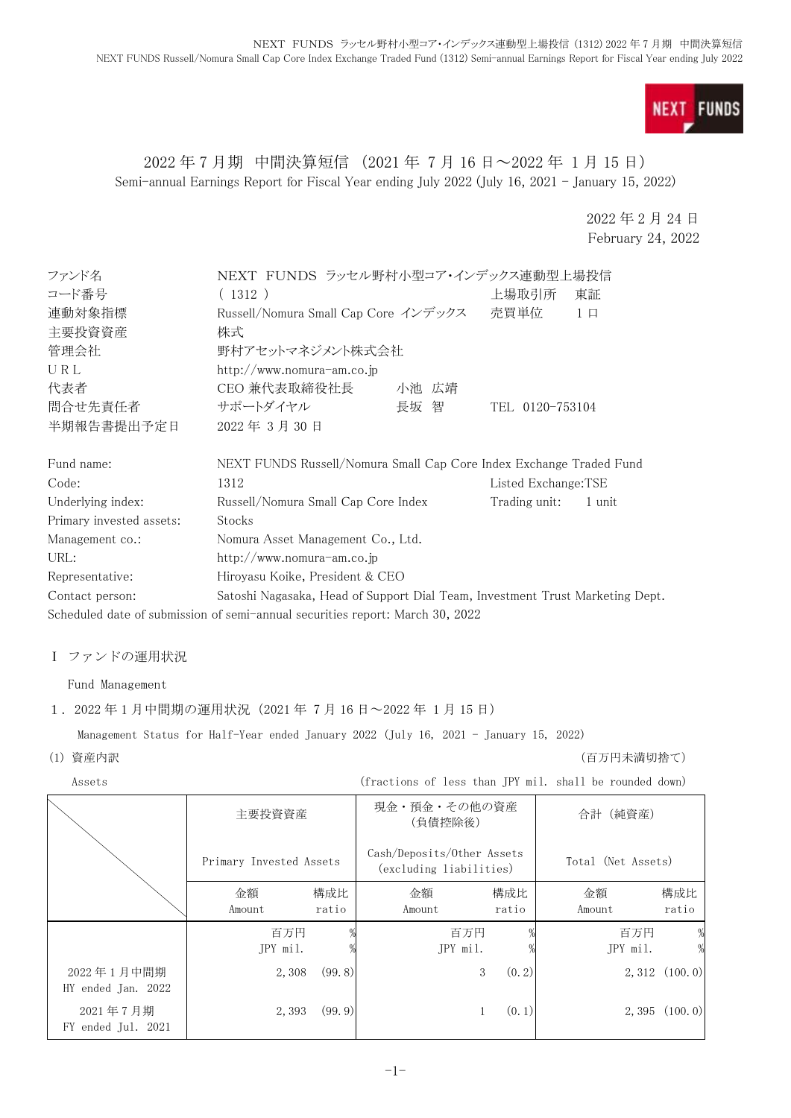

### 2022 年 7 月期 中間決算短信 (2021 年 7 月 16 日~2022 年 1 月 15 日) Semi-annual Earnings Report for Fiscal Year ending July 2022 (July 16, 2021 - January 15, 2022)

2022 年 2 月 24 日 February 24, 2022

| ファンド名                    | NEXT FUNDS ラッセル野村小型コア・インデックス連動型上場投信                                           |       |                     |          |  |
|--------------------------|-------------------------------------------------------------------------------|-------|---------------------|----------|--|
| コード番号                    | (1312)                                                                        | 上場取引所 | 東証                  |          |  |
| 連動対象指標                   | Russell/Nomura Small Cap Core インデックス 売買単位                                     |       |                     | $1 \Box$ |  |
| 主要投資資産                   | 株式                                                                            |       |                     |          |  |
| 管理会社                     | 野村アセットマネジメント株式会社                                                              |       |                     |          |  |
| URL                      | http://www.nomura-am.co.jp                                                    |       |                     |          |  |
| 代表者                      | CEO 兼代表取締役社長                                                                  | 小池 広靖 |                     |          |  |
| 問合せ先責任者                  | サポートダイヤル                                                                      | 長坂 智  | TEL 0120-753104     |          |  |
| 半期報告書提出予定日               | 2022年3月30日                                                                    |       |                     |          |  |
| Fund name:               | NEXT FUNDS Russell/Nomura Small Cap Core Index Exchange Traded Fund           |       |                     |          |  |
| Code:                    | 1312                                                                          |       | Listed Exchange:TSE |          |  |
| Underlying index:        | Russell/Nomura Small Cap Core Index<br>Trading unit:<br>1 unit                |       |                     |          |  |
| Primary invested assets: | Stocks                                                                        |       |                     |          |  |
| Management co.:          | Nomura Asset Management Co., Ltd.                                             |       |                     |          |  |
| URL:                     | http://www.nomura-am.co.jp                                                    |       |                     |          |  |
| Representative:          | Hiroyasu Koike, President & CEO                                               |       |                     |          |  |
| Contact person:          | Satoshi Nagasaka, Head of Support Dial Team, Investment Trust Marketing Dept. |       |                     |          |  |
|                          | Scheduled date of submission of semi-annual securities report: March 30, 2022 |       |                     |          |  |

# Ⅰ ファンドの運用状況

Fund Management

### 1.2022 年 1 月中間期の運用状況(2021 年 7 月 16 日~2022 年 1 月 15 日)

Management Status for Half-Year ended January 2022 (July 16, 2021 - January 15, 2022)

(1) 資産内訳 (百万円未満切捨て)

|  | Assets                           |                         |              | (fractions of less than JPY mil. shall be rounded down) |              |                    |                    |
|--|----------------------------------|-------------------------|--------------|---------------------------------------------------------|--------------|--------------------|--------------------|
|  |                                  | 主要投資資産                  |              | 現金・預金・その他の資産<br>(負債控除後)                                 |              | 合計 (純資産)           |                    |
|  |                                  | Primary Invested Assets |              | Cash/Deposits/Other Assets<br>(excluding liabilities)   |              | Total (Net Assets) |                    |
|  |                                  | 金額<br>Amount            | 構成比<br>ratio | 金額<br>Amount                                            | 構成比<br>ratio | 金額<br>Amount       | 構成比<br>ratio       |
|  |                                  | 百万円<br>JPY mil.         |              | 百万円<br>JPY mil.                                         |              | 百万円<br>JPY mil.    | %<br>$\frac{0}{2}$ |
|  | 2022年1月中間期<br>HY ended Jan. 2022 | 2,308                   | (99, 8)      | 3                                                       | (0, 2)       |                    | $2,312$ $(100.0)$  |
|  | 2021年7月期<br>FY ended Jul. 2021   | 2,393                   | (99.9)       |                                                         | (0, 1)       |                    | 2,395(100.0)       |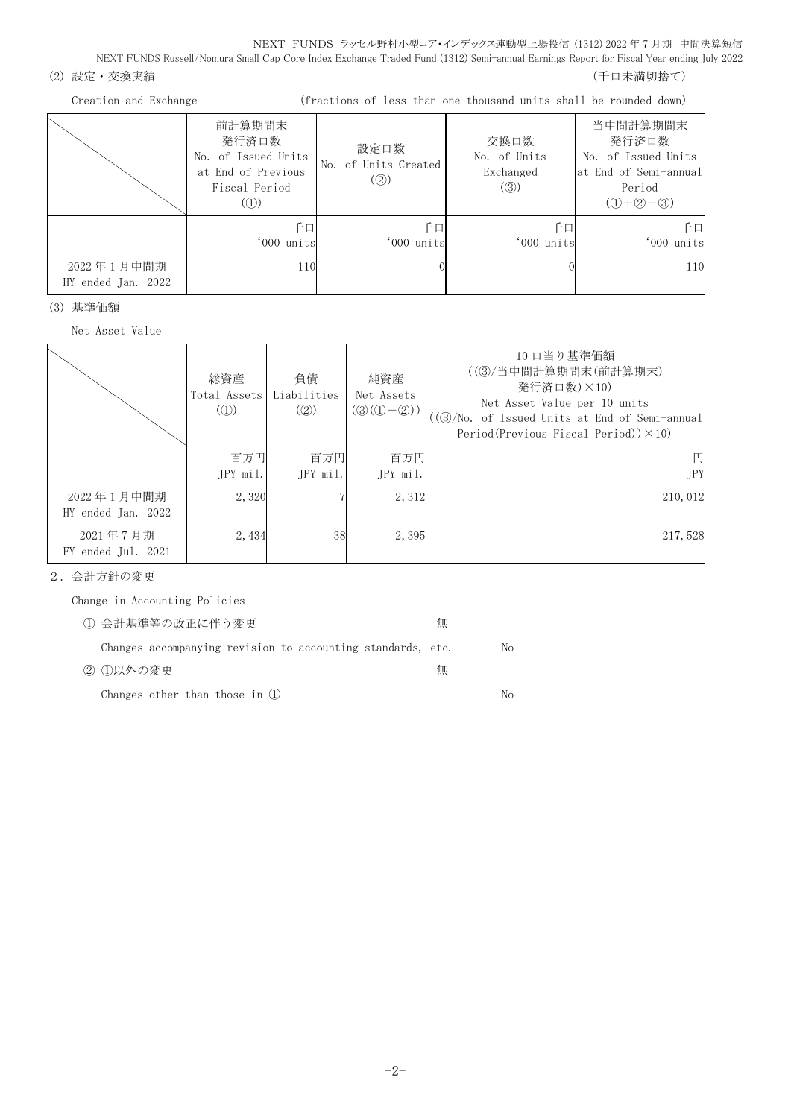NEXT FUNDS ラッセル野村小型コア・インデックス連動型上場投信 (1312) 2022 年 7 月期 中間決算短信 NEXT FUNDS Russell/Nomura Small Cap Core Index Exchange Traded Fund (1312) Semi-annual Earnings Report for Fiscal Year ending July 2022

(2) 設定・交換実績 (2) またのは、これまでは、これまでは、これまでは、これまでは、これまでは、これまでは、これまでは、これまでは、これまでは、これまでは、

| (fractions of less than one thousand units shall be rounded down)<br>Creation and Exchange |                                                                                      |                                     |                                          |                                                                                           |
|--------------------------------------------------------------------------------------------|--------------------------------------------------------------------------------------|-------------------------------------|------------------------------------------|-------------------------------------------------------------------------------------------|
|                                                                                            | 前計算期間末<br>発行済口数<br>No. of Issued Units<br>at End of Previous<br>Fiscal Period<br>(1) | 設定口数<br>No. of Units Created<br>(2) | 交換口数<br>No. of Units<br>Exchanged<br>(③) | 当中間計算期間末<br>発行済口数<br>No. of Issued Units<br>lat End of Semi-annual<br>Period<br>$(D+2-3)$ |
|                                                                                            | 千口<br>'000 units                                                                     | 千口<br>'000 units                    | 千口<br>'000 units                         | 千口<br>'000 units                                                                          |
| 2022年1月中間期<br>HY ended Jan. 2022                                                           | 110                                                                                  |                                     |                                          | 110                                                                                       |

(3) 基準価額

Net Asset Value

|                                  | 総資産<br>Total Assets<br>$\mathcal{L}(\mathbb{D})$ | 負債<br>Liabilities<br>$\mathcal{O}(2)$ | 純資産<br>Net Assets<br>$(\mathcal{D}(\mathbb{O}-\mathbb{Q}))$ | 10 口当り基準価額<br>((3)/当中間計算期間末(前計算期末)<br>発行済口数)×10)<br>Net Asset Value per 10 units<br>((3)/No. of Issued Units at End of Semi-annual<br>Period (Previous Fiscal Period)) $\times$ 10) |
|----------------------------------|--------------------------------------------------|---------------------------------------|-------------------------------------------------------------|-------------------------------------------------------------------------------------------------------------------------------------------------------------------------------------|
|                                  | 百万円<br>JPY mil.                                  | 百万円<br>JPY mil.                       | 百万円<br>JPY mil.                                             | 円<br><b>JPY</b>                                                                                                                                                                     |
| 2022年1月中間期<br>HY ended Jan. 2022 | 2,320                                            |                                       | 2,312                                                       | 210,012                                                                                                                                                                             |
| 2021年7月期<br>FY ended Jul. 2021   | 2,434                                            | 38                                    | 2,395                                                       | 217,528                                                                                                                                                                             |

2.会計方針の変更

Change in Accounting Policies

| 1) 会計基準等の改正に伴う変更                                            | 無 |    |
|-------------------------------------------------------------|---|----|
| Changes accompanying revision to accounting standards, etc. |   | No |
| ② ①以外の変更                                                    | 無 |    |
| Changes other than those in $(1)$                           |   | Nο |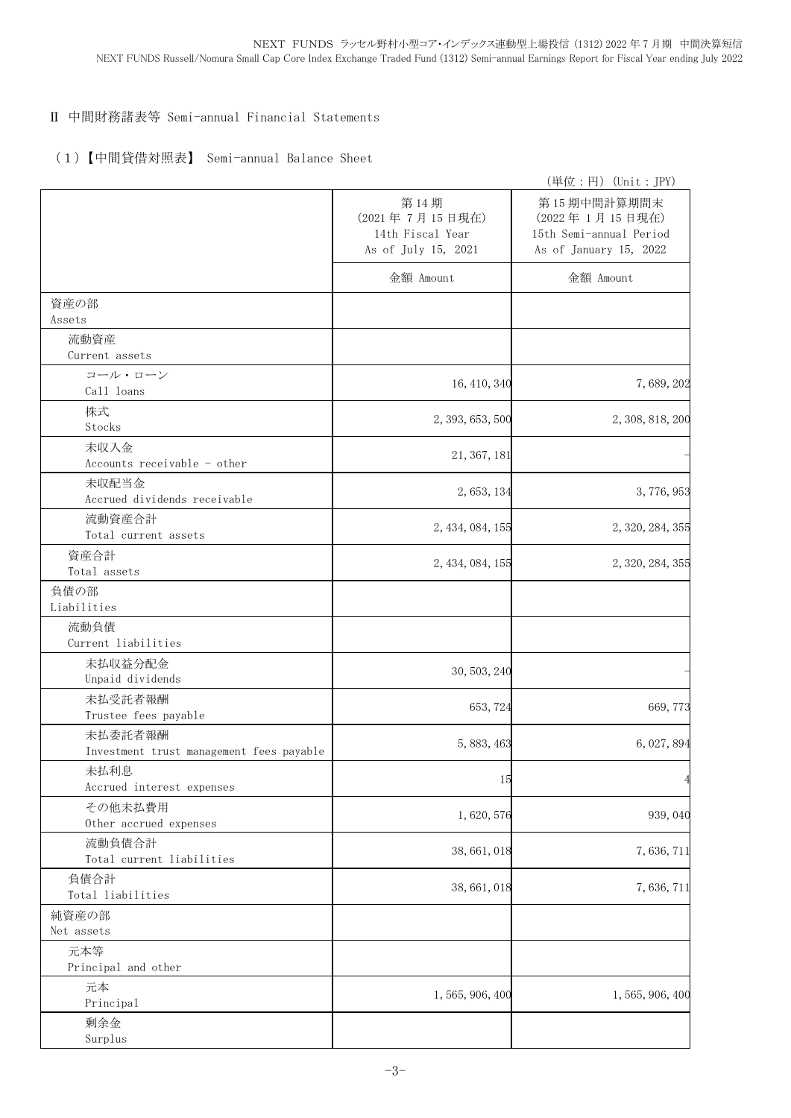### Ⅱ 中間財務諸表等 Semi-annual Financial Statements

### (1)【中間貸借対照表】 Semi-annual Balance Sheet

|                                                     |                                                                   | (単位:円) (Unit: JPY)                                                                 |
|-----------------------------------------------------|-------------------------------------------------------------------|------------------------------------------------------------------------------------|
|                                                     | 第14期<br>(2021年7月15日現在)<br>14th Fiscal Year<br>As of July 15, 2021 | 第15期中間計算期間末<br>(2022年1月15日現在)<br>15th Semi-annual Period<br>As of January 15, 2022 |
|                                                     | 金額 Amount                                                         | 金額 Amount                                                                          |
| 資産の部<br>Assets                                      |                                                                   |                                                                                    |
| 流動資産<br>Current assets                              |                                                                   |                                                                                    |
| コール・ローン<br>Call loans                               | 16, 410, 340                                                      | 7,689,202                                                                          |
| 株式<br>Stocks                                        | 2, 393, 653, 500                                                  | 2, 308, 818, 200                                                                   |
| 未収入金<br>Accounts receivable - other                 | 21, 367, 181                                                      |                                                                                    |
| 未収配当金<br>Accrued dividends receivable               | 2, 653, 134                                                       | 3,776,953                                                                          |
| 流動資産合計<br>Total current assets                      | 2, 434, 084, 155                                                  | 2, 320, 284, 355                                                                   |
| 資産合計<br>Total assets                                | 2, 434, 084, 155                                                  | 2, 320, 284, 355                                                                   |
| 負債の部<br>Liabilities                                 |                                                                   |                                                                                    |
| 流動負債<br>Current liabilities                         |                                                                   |                                                                                    |
| 未払収益分配金<br>Unpaid dividends                         | 30, 503, 240                                                      |                                                                                    |
| 未払受託者報酬<br>Trustee fees payable                     | 653, 724                                                          | 669, 773                                                                           |
| 未払委託者報酬<br>Investment trust management fees payable | 5, 883, 463                                                       | 6, 027, 894                                                                        |
| 未払利息<br>Accrued interest expenses                   | 15                                                                | $\overline{4}$                                                                     |
| その他未払費用<br>Other accrued expenses                   | 1,620,576                                                         | 939, 040                                                                           |
| 流動負債合計<br>Total current liabilities                 | 38, 661, 018                                                      | 7,636,711                                                                          |
| 負債合計<br>Total liabilities                           | 38, 661, 018                                                      | 7,636,711                                                                          |
| 純資産の部<br>Net assets                                 |                                                                   |                                                                                    |
| 元本等<br>Principal and other                          |                                                                   |                                                                                    |
| 元本<br>Principal                                     | 1, 565, 906, 400                                                  | 1, 565, 906, 400                                                                   |
| 剰余金<br>Surplus                                      |                                                                   |                                                                                    |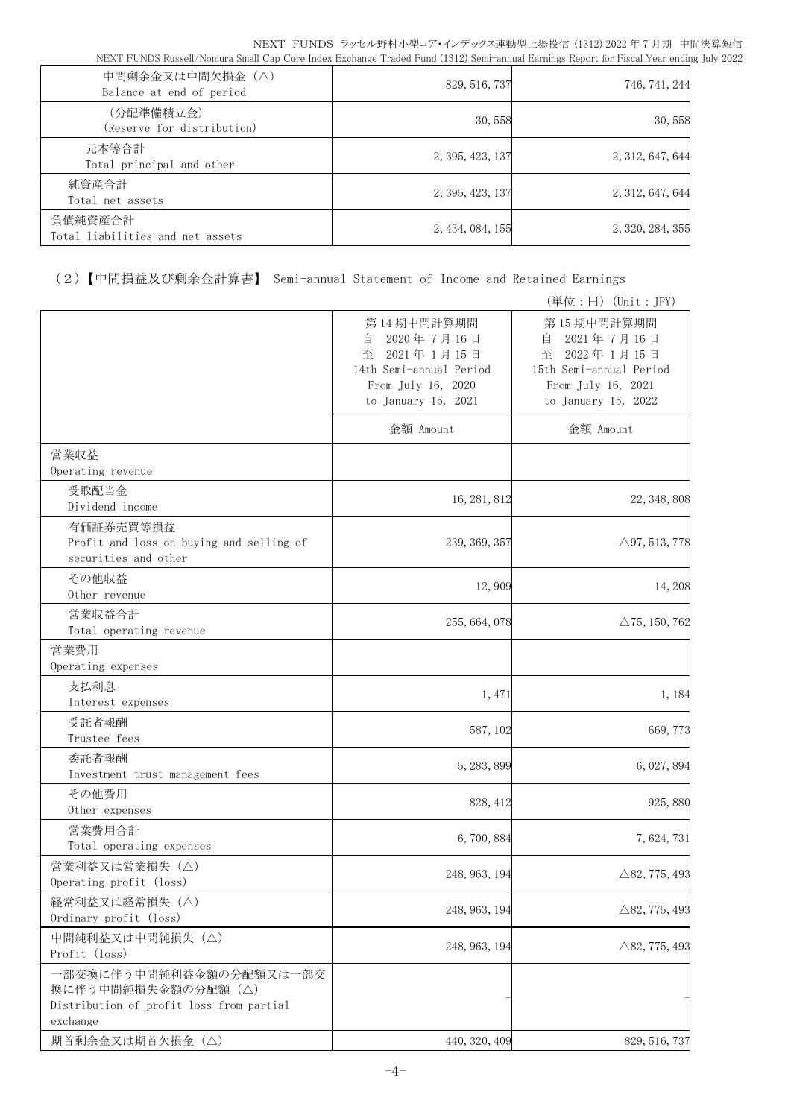| 中間剰余金又は中間欠損金(△)<br>Balance at end of period | 829, 516, 737    | 746, 741, 244    |
|---------------------------------------------|------------------|------------------|
| (分配準備積立金)<br>(Reserve for distribution)     | 30,558           | 30,558           |
| 元本等合計<br>Total principal and other          | 2, 395, 423, 137 | 2, 312, 647, 644 |
| 純資産合計<br>Total net assets                   | 2, 395, 423, 137 | 2, 312, 647, 644 |
| 負債純資産合計<br>Total liabilities and net assets | 2, 434, 084, 155 | 2, 320, 284, 355 |

(2)【中間損益及び剰余金計算書】 Semi-annual Statement of Income and Retained Earnings

|                                                                                                        |                                                                                                                          | (単位:円) (Unit:JPY)                                                                                                        |
|--------------------------------------------------------------------------------------------------------|--------------------------------------------------------------------------------------------------------------------------|--------------------------------------------------------------------------------------------------------------------------|
|                                                                                                        | 第14期中間計算期間<br>2020年7月16日<br>自<br>至<br>2021年1月15日<br>14th Semi-annual Period<br>From July 16, 2020<br>to January 15, 2021 | 第15期中間計算期間<br>2021年7月16日<br>目<br>至<br>2022年1月15日<br>15th Semi-annual Period<br>From July 16, 2021<br>to January 15, 2022 |
|                                                                                                        | 金額 Amount                                                                                                                | 金額 Amount                                                                                                                |
| 営業収益<br>Operating revenue                                                                              |                                                                                                                          |                                                                                                                          |
| 受取配当金<br>Dividend income                                                                               | 16, 281, 812                                                                                                             | 22, 348, 808                                                                                                             |
| 有価証券売買等損益<br>Profit and loss on buying and selling of<br>securities and other                          | 239, 369, 357                                                                                                            | $\triangle$ 97, 513, 778                                                                                                 |
| その他収益<br>Other revenue                                                                                 | 12,909                                                                                                                   | 14,208                                                                                                                   |
| 営業収益合計<br>Total operating revenue                                                                      | 255, 664, 078                                                                                                            | $\triangle$ 75, 150, 762                                                                                                 |
| 営業費用<br>Operating expenses                                                                             |                                                                                                                          |                                                                                                                          |
| 支払利息<br>Interest expenses                                                                              | 1, 471                                                                                                                   | 1, 184                                                                                                                   |
| 受託者報酬<br>Trustee fees                                                                                  | 587, 102                                                                                                                 | 669, 773                                                                                                                 |
| 委託者報酬<br>Investment trust management fees                                                              | 5, 283, 899                                                                                                              | 6, 027, 894                                                                                                              |
| その他費用<br>Other expenses                                                                                | 828, 412                                                                                                                 | 925,880                                                                                                                  |
| 営業費用合計<br>Total operating expenses                                                                     | 6,700,884                                                                                                                | 7,624,731                                                                                                                |
| 営業利益又は営業損失 (△)<br>Operating profit (loss)                                                              | 248, 963, 194                                                                                                            | $\triangle$ 82, 775, 493                                                                                                 |
| 経常利益又は経常損失 (△)<br>Ordinary profit (loss)                                                               | 248, 963, 194                                                                                                            | $\triangle$ 82, 775, 493                                                                                                 |
| 中間純利益又は中間純損失(△)<br>Profit (loss)                                                                       | 248, 963, 194                                                                                                            | $\triangle$ 82, 775, 493                                                                                                 |
| 一部交換に伴う中間純利益金額の分配額又は一部交<br>換に伴う中間純損失金額の分配額 (△)<br>Distribution of profit loss from partial<br>exchange |                                                                                                                          |                                                                                                                          |
| 期首剰余金又は期首欠損金 (△)                                                                                       | 440, 320, 409                                                                                                            | 829, 516, 737                                                                                                            |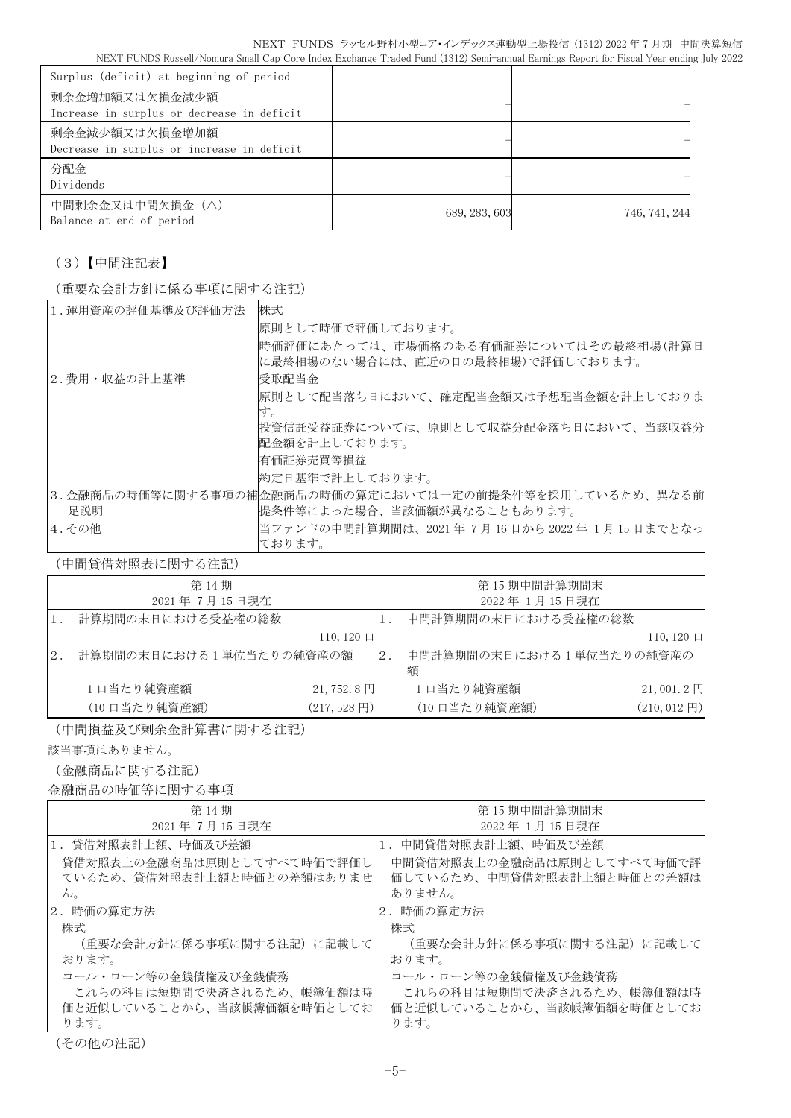| Surplus (deficit) at beginning of period                     |               |               |
|--------------------------------------------------------------|---------------|---------------|
| 剰余金増加額又は欠損金減少額<br>Increase in surplus or decrease in deficit |               |               |
| 剰余金減少額又は欠損金増加額<br>Decrease in surplus or increase in deficit |               |               |
| 分配金<br>Dividends                                             |               |               |
| 中間剰余金又は中間欠損金(△)<br>Balance at end of period                  | 689, 283, 603 | 746, 741, 244 |

## (3)【中間注記表】

(重要な会計方針に係る事項に関する注記)

| 1. 運用資産の評価基準及び評価方法 | 株式                                                      |
|--------------------|---------------------------------------------------------|
|                    | 原則として時価で評価しております。                                       |
|                    | 時価評価にあたっては、市場価格のある有価証券についてはその最終相場(計算日                   |
|                    | に最終相場のない場合には、直近の日の最終相場)で評価しております。                       |
| 2.費用・収益の計上基準       | 受取配当金                                                   |
|                    | 原則として配当落ち日において、確定配当金額又は予想配当金額を計上しておりま                   |
|                    | す。                                                      |
|                    | 投資信託受益証券については、原則として収益分配金落ち日において、当該収益分                   |
|                    | 配金額を計上しております。                                           |
|                    | 有価証券売買等損益                                               |
|                    | 約定日基準で計上しております。                                         |
|                    | 3.金融商品の時価等に関する事項の補金融商品の時価の算定においては一定の前提条件等を採用しているため、異なる前 |
| 足説明                | 提条件等によった場合、当該価額が異なることもあります。                             |
| 4.その他              | 当ファンドの中間計算期間は、2021年7月16日から2022年1月15日までとなっ               |
|                    | ております。                                                  |

(中間貸借対照表に関する注記)

|    | 第14期<br>2021年7月15日現在    |                         |    | 第15期中間計算期間末<br>2022年1月15日現在   |                         |
|----|-------------------------|-------------------------|----|-------------------------------|-------------------------|
|    | 計算期間の末日における受益権の総数       |                         |    | 中間計算期間の末日における受益権の総数           |                         |
|    |                         | $110, 120$ 口            |    |                               | $110, 120 \Box$         |
| 2. | 計算期間の末日における1単位当たりの純資産の額 |                         | 2. | 中間計算期間の末日における1単位当たりの純資産の<br>額 |                         |
|    | 1口当たり純資産額               | $21,752.8$ 円            |    | 1口当たり純資産額                     | $21,001.2$ 円            |
|    | (10 口当たり純資産額)           | $(217, 528 \,\boxplus)$ |    | (10 口当たり純資産額)                 | $(210, 012 \,\boxplus)$ |

(中間損益及び剰余金計算書に関する注記)

該当事項はありません。

(金融商品に関する注記)

金融商品の時価等に関する事項

| 第 14 期                     | 第15期中間計算期間末                |
|----------------------------|----------------------------|
| 2021年7月15日現在               | 2022年1月15日現在               |
| 1.貸借対照表計上額、時価及び差額          | 1.中間貸借対照表計上額、時価及び差額        |
| 貸借対照表上の金融商品は原則としてすべて時価で評価し | 中間貸借対照表上の金融商品は原則としてすべて時価で評 |
| ているため、貸借対照表計上額と時価との差額はありませ | 価しているため、中間貸借対照表計上額と時価との差額は |
| $\mathcal{W}^{\vee}$       | ありません。                     |
| 2.時価の算定方法                  | 2. 時価の算定方法                 |
| 株式                         | 株式                         |
| (重要な会計方針に係る事項に関する注記) に記載して | (重要な会計方針に係る事項に関する注記)に記載して  |
| おります。                      | おります。                      |
| コール・ローン等の金銭債権及び金銭債務        | コール・ローン等の金銭債権及び金銭債務        |
| これらの科目は短期間で決済されるため、帳簿価額は時  | これらの科目は短期間で決済されるため、帳簿価額は時  |
| 価と近似していることから、当該帳簿価額を時価としてお | 価と近似していることから、当該帳簿価額を時価としてお |
| ります。                       | ります。                       |

(その他の注記)